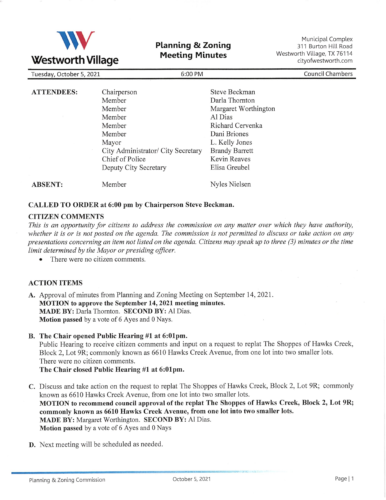

Planning & Zoning Meeting Minutes

Municipal Complex 311 Burton Hill Road Westworth Village, TX 76114 cityofwestworth.com

| ---------------                     |                                    |                       |                         |
|-------------------------------------|------------------------------------|-----------------------|-------------------------|
| 6:00 PM<br>Tuesday, October 5, 2021 |                                    |                       | <b>Council Chambers</b> |
|                                     |                                    |                       |                         |
| <b>ATTENDEES:</b>                   | Chairperson                        | Steve Beckman         |                         |
|                                     | Member                             | Darla Thornton        |                         |
|                                     | Member                             | Margaret Worthington  |                         |
|                                     | Member                             | Al Dias               |                         |
|                                     | Member                             | Richard Cervenka      |                         |
|                                     | Member                             | Dani Briones          |                         |
|                                     | Mayor                              | L. Kelly Jones        |                         |
|                                     | City Administrator/ City Secretary | <b>Brandy Barrett</b> |                         |
|                                     | Chief of Police                    | Kevin Reaves          |                         |
|                                     | Deputy City Secretary              | Elisa Greubel         |                         |
| <b>ABSENT:</b>                      | Member                             | Nyles Nielsen         |                         |

## CALLED TO ORDER at 6:00 pm by Chairperson Steve Beckman.

## CITIZEN COMMENTS

This is an opportunity for citizens to address the commission on any matter over which they have authority, whether it is or is not posted on the agenda. The commission is not permitted to discuss or take action on any presentations concerning an item not listed on the agenda. Citizens may speak up to three (3) minutes or the time limit determined by the Mayor or presiding officer.

• There were no citizen comments.

## ACTION ITEMS

- A. Approval of minutes from Planning and Zoning Meeting on September 14, 2021. MOTION to approve the September 14,2021 meeting minutes. MADE BY: Darla Thornton. SECOND BY: Al Dias. Motion passed by a vote of 6 Ayes and 0 Nays.
- B. The Chair opened Public Hearing #1 at 6:01pm.

Public Hearing to receive citizen comments and input on a request to replat The Shoppes of Hawks Creek, Block Z,Lot 9R; commonly known as 6610 Hawks Creek Avenue, from one lot into two smaller lots. There were no citizen comments.

The Chair closed Public Hearing #1 at 6:01pm.

C. Discuss and take action on the request to replat The Shoppes of Hawks Creek, Block 2, Lot 9R; commonly known as 6610 Hawks Creek Avenue, from one lot into two smaller lots. MOTION to recommend council approval of the replat The Shoppes of Hawks Creek, Block 2, Lot 9R; commonly known as 6610 Hawks Creek Avenue, from one lot into two smaller lots. MADE BY: Margaret Worthington. SECOND BY: Al Dias. Motion passed by a vote of 6 Ayes and 0 Nays

D. Next meeting will be scheduled as needed.